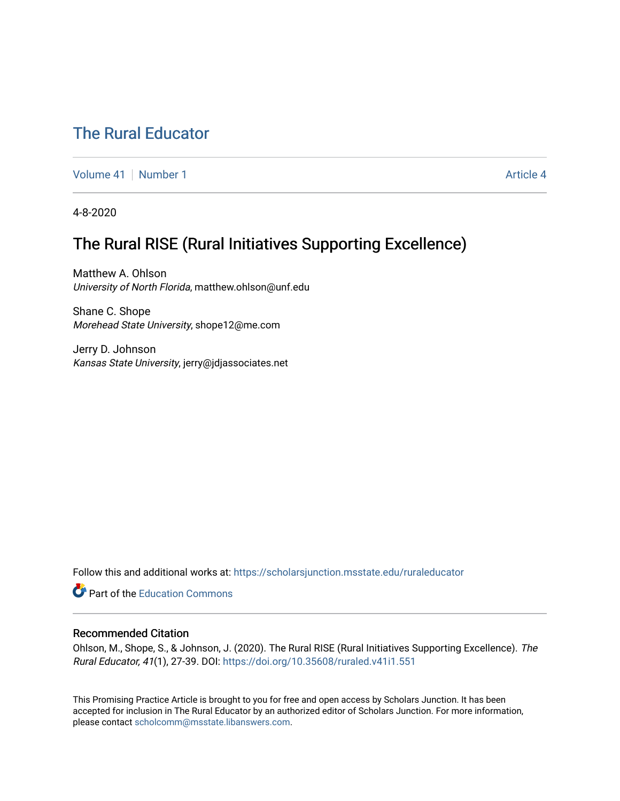## [The Rural Educator](https://scholarsjunction.msstate.edu/ruraleducator)

[Volume 41](https://scholarsjunction.msstate.edu/ruraleducator/vol41) [Number 1](https://scholarsjunction.msstate.edu/ruraleducator/vol41/iss1) Article 4

4-8-2020

# The Rural RISE (Rural Initiatives Supporting Excellence)

Matthew A. Ohlson University of North Florida, matthew.ohlson@unf.edu

Shane C. Shope Morehead State University, shope12@me.com

Jerry D. Johnson Kansas State University, jerry@jdjassociates.net

Follow this and additional works at: [https://scholarsjunction.msstate.edu/ruraleducator](https://scholarsjunction.msstate.edu/ruraleducator?utm_source=scholarsjunction.msstate.edu%2Fruraleducator%2Fvol41%2Fiss1%2F4&utm_medium=PDF&utm_campaign=PDFCoverPages)

**C** Part of the [Education Commons](http://network.bepress.com/hgg/discipline/784?utm_source=scholarsjunction.msstate.edu%2Fruraleducator%2Fvol41%2Fiss1%2F4&utm_medium=PDF&utm_campaign=PDFCoverPages)

#### Recommended Citation

Ohlson, M., Shope, S., & Johnson, J. (2020). The Rural RISE (Rural Initiatives Supporting Excellence). The Rural Educator, 41(1), 27-39. DOI:<https://doi.org/10.35608/ruraled.v41i1.551>

This Promising Practice Article is brought to you for free and open access by Scholars Junction. It has been accepted for inclusion in The Rural Educator by an authorized editor of Scholars Junction. For more information, please contact [scholcomm@msstate.libanswers.com.](mailto:scholcomm@msstate.libanswers.com)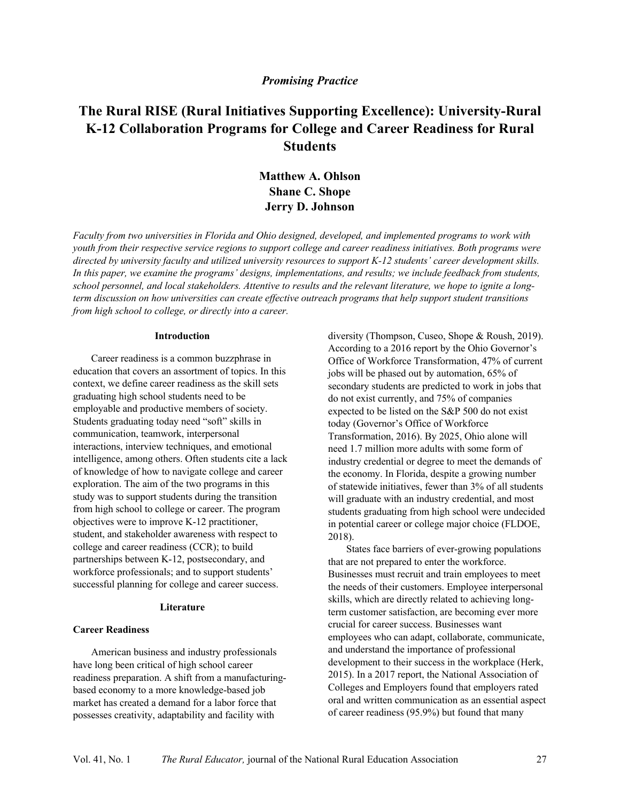#### *Promising Practice*

### **The Rural RISE (Rural Initiatives Supporting Excellence): University-Rural K-12 Collaboration Programs for College and Career Readiness for Rural Students**

### **Matthew A. Ohlson Shane C. Shope Jerry D. Johnson**

*Faculty from two universities in Florida and Ohio designed, developed, and implemented programs to work with* youth from their respective service regions to support college and career readiness initiatives. Both programs were *directed by university faculty and utilized university resources to support K-12 students' career development skills.* In this paper, we examine the programs' designs, implementations, and results; we include feedback from students, school personnel, and local stakeholders. Attentive to results and the relevant literature, we hope to ignite a long*term discussion on how universities can create effective outreach programs that help support student transitions from high school to college, or directly into a career.*

#### **Introduction**

Career readiness is a common buzzphrase in education that covers an assortment of topics. In this context, we define career readiness as the skill sets graduating high school students need to be employable and productive members of society. Students graduating today need "soft" skills in communication, teamwork, interpersonal interactions, interview techniques, and emotional intelligence, among others. Often students cite a lack of knowledge of how to navigate college and career exploration. The aim of the two programs in this study was to support students during the transition from high school to college or career. The program objectives were to improve K-12 practitioner, student, and stakeholder awareness with respect to college and career readiness (CCR); to build partnerships between K-12, postsecondary, and workforce professionals; and to support students' successful planning for college and career success.

#### **Literature**

#### **Career Readiness**

American business and industry professionals have long been critical of high school career readiness preparation. A shift from a manufacturingbased economy to a more knowledge-based job market has created a demand for a labor force that possesses creativity, adaptability and facility with

diversity (Thompson, Cuseo, Shope & Roush, 2019). According to a 2016 report by the Ohio Governor's Office of Workforce Transformation, 47% of current jobs will be phased out by automation, 65% of secondary students are predicted to work in jobs that do not exist currently, and 75% of companies expected to be listed on the S&P 500 do not exist today (Governor's Office of Workforce Transformation, 2016). By 2025, Ohio alone will need 1.7 million more adults with some form of industry credential or degree to meet the demands of the economy. In Florida, despite a growing number of statewide initiatives, fewer than 3% of all students will graduate with an industry credential, and most students graduating from high school were undecided in potential career or college major choice (FLDOE, 2018).

States face barriers of ever-growing populations that are not prepared to enter the workforce. Businesses must recruit and train employees to meet the needs of their customers. Employee interpersonal skills, which are directly related to achieving longterm customer satisfaction, are becoming ever more crucial for career success. Businesses want employees who can adapt, collaborate, communicate, and understand the importance of professional development to their success in the workplace (Herk, 2015). In a 2017 report, the National Association of Colleges and Employers found that employers rated oral and written communication as an essential aspect of career readiness (95.9%) but found that many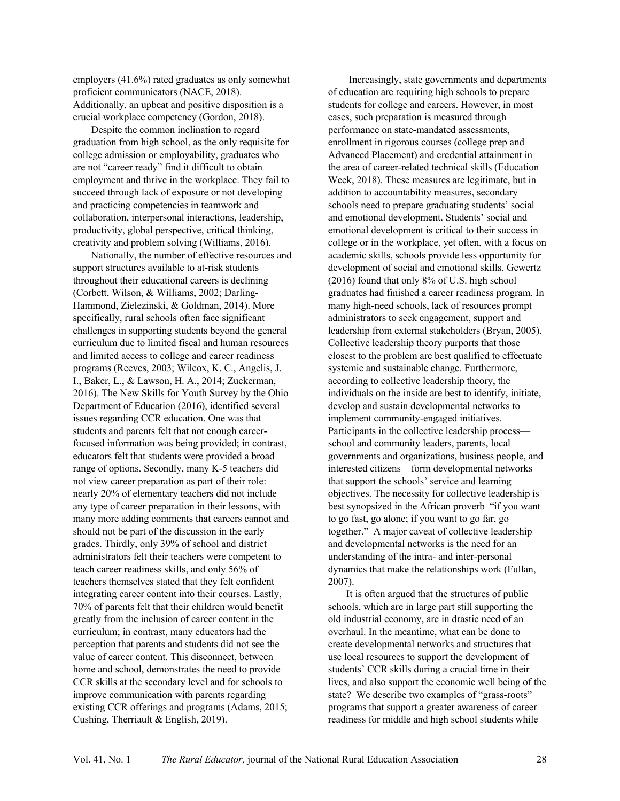employers (41.6%) rated graduates as only somewhat proficient communicators (NACE, 2018). Additionally, an upbeat and positive disposition is a crucial workplace competency (Gordon, 2018).

Despite the common inclination to regard graduation from high school, as the only requisite for college admission or employability, graduates who are not "career ready" find it difficult to obtain employment and thrive in the workplace. They fail to succeed through lack of exposure or not developing and practicing competencies in teamwork and collaboration, interpersonal interactions, leadership, productivity, global perspective, critical thinking, creativity and problem solving (Williams, 2016).

Nationally, the number of effective resources and support structures available to at-risk students throughout their educational careers is declining (Corbett, Wilson, & Williams, 2002; Darling-Hammond, Zielezinski, & Goldman, 2014). More specifically, rural schools often face significant challenges in supporting students beyond the general curriculum due to limited fiscal and human resources and limited access to college and career readiness programs (Reeves, 2003; Wilcox, K. C., Angelis, J. I., Baker, L., & Lawson, H. A., 2014; Zuckerman, 2016). The New Skills for Youth Survey by the Ohio Department of Education (2016), identified several issues regarding CCR education. One was that students and parents felt that not enough careerfocused information was being provided; in contrast, educators felt that students were provided a broad range of options. Secondly, many K-5 teachers did not view career preparation as part of their role: nearly 20% of elementary teachers did not include any type of career preparation in their lessons, with many more adding comments that careers cannot and should not be part of the discussion in the early grades. Thirdly, only 39% of school and district administrators felt their teachers were competent to teach career readiness skills, and only 56% of teachers themselves stated that they felt confident integrating career content into their courses. Lastly, 70% of parents felt that their children would benefit greatly from the inclusion of career content in the curriculum; in contrast, many educators had the perception that parents and students did not see the value of career content. This disconnect, between home and school, demonstrates the need to provide CCR skills at the secondary level and for schools to improve communication with parents regarding existing CCR offerings and programs (Adams, 2015; Cushing, Therriault & English, 2019).

Increasingly, state governments and departments of education are requiring high schools to prepare students for college and careers. However, in most cases, such preparation is measured through performance on state-mandated assessments, enrollment in rigorous courses (college prep and Advanced Placement) and credential attainment in the area of career-related technical skills (Education Week, 2018). These measures are legitimate, but in addition to accountability measures, secondary schools need to prepare graduating students' social and emotional development. Students' social and emotional development is critical to their success in college or in the workplace, yet often, with a focus on academic skills, schools provide less opportunity for development of social and emotional skills. Gewertz (2016) found that only 8% of U.S. high school graduates had finished a career readiness program. In many high-need schools, lack of resources prompt administrators to seek engagement, support and leadership from external stakeholders (Bryan, 2005). Collective leadership theory purports that those closest to the problem are best qualified to effectuate systemic and sustainable change. Furthermore, according to collective leadership theory, the individuals on the inside are best to identify, initiate, develop and sustain developmental networks to implement community-engaged initiatives. Participants in the collective leadership process school and community leaders, parents, local governments and organizations, business people, and interested citizens—form developmental networks that support the schools' service and learning objectives. The necessity for collective leadership is best synopsized in the African proverb–"if you want to go fast, go alone; if you want to go far, go together." A major caveat of collective leadership and developmental networks is the need for an understanding of the intra- and inter-personal dynamics that make the relationships work (Fullan, 2007).

It is often argued that the structures of public schools, which are in large part still supporting the old industrial economy, are in drastic need of an overhaul. In the meantime, what can be done to create developmental networks and structures that use local resources to support the development of students' CCR skills during a crucial time in their lives, and also support the economic well being of the state? We describe two examples of "grass-roots" programs that support a greater awareness of career readiness for middle and high school students while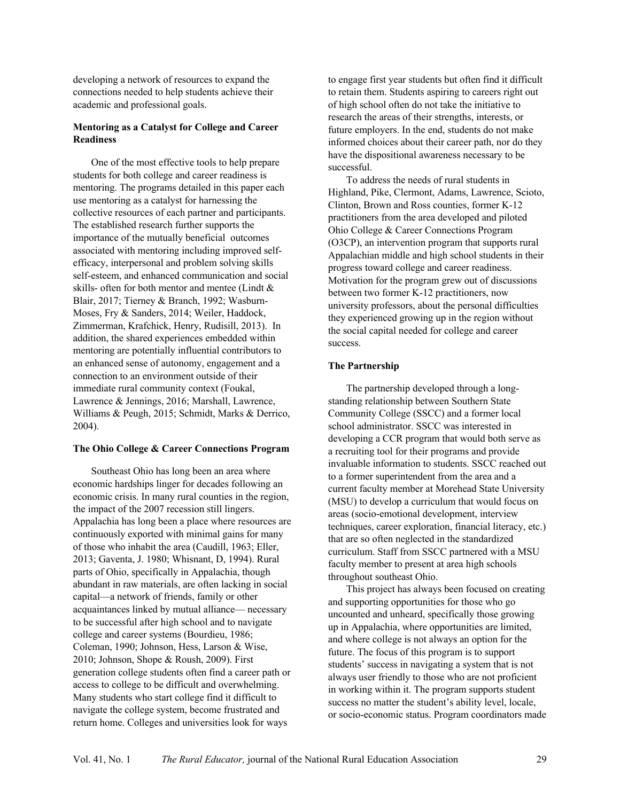developing a network of resources to expand the connections needed to help students achieve their academic and professional goals.

#### **Mentoring as a Catalyst for College and Career Readiness**

One of the most effective tools to help prepare students for both college and career readiness is mentoring. The programs detailed in this paper each use mentoring as a catalyst for harnessing the collective resources of each partner and participants. The established research further supports the importance of the mutually beneficial outcomes associated with mentoring including improved selfefficacy, interpersonal and problem solving skills self-esteem, and enhanced communication and social skills- often for both mentor and mentee (Lindt & Blair, 2017; Tierney & Branch, 1992; Wasburn-Moses, Fry & Sanders, 2014; Weiler, Haddock, Zimmerman, Krafchick, Henry, Rudisill, 2013). In addition, the shared experiences embedded within mentoring are potentially influential contributors to an enhanced sense of autonomy, engagement and a connection to an environment outside of their immediate rural community context (Foukal, Lawrence & Jennings, 2016; Marshall, Lawrence, Williams & Peugh, 2015; Schmidt, Marks & Derrico, 2004).

#### **The Ohio College & Career Connections Program**

Southeast Ohio has long been an area where economic hardships linger for decades following an economic crisis. In many rural counties in the region, the impact of the 2007 recession still lingers. Appalachia has long been a place where resources are continuously exported with minimal gains for many of those who inhabit the area (Caudill, 1963; Eller, 2013; Gaventa, J. 1980; Whisnant, D, 1994). Rural parts of Ohio, specifically in Appalachia, though abundant in raw materials, are often lacking in social capital—a network of friends, family or other acquaintances linked by mutual alliance— necessary to be successful after high school and to navigate college and career systems (Bourdieu, 1986; Coleman, 1990; Johnson, Hess, Larson & Wise, 2010; Johnson, Shope & Roush, 2009). First generation college students often find a career path or access to college to be difficult and overwhelming. Many students who start college find it difficult to navigate the college system, become frustrated and return home. Colleges and universities look for ways

to engage first year students but often find it difficult to retain them. Students aspiring to careers right out of high school often do not take the initiative to research the areas of their strengths, interests, or future employers. In the end, students do not make informed choices about their career path, nor do they have the dispositional awareness necessary to be successful.

To address the needs of rural students in Highland, Pike, Clermont, Adams, Lawrence, Scioto, Clinton, Brown and Ross counties, former K-12 practitioners from the area developed and piloted Ohio College & Career Connections Program (O3CP), an intervention program that supports rural Appalachian middle and high school students in their progress toward college and career readiness. Motivation for the program grew out of discussions between two former K-12 practitioners, now university professors, about the personal difficulties they experienced growing up in the region without the social capital needed for college and career success.

#### **The Partnership**

The partnership developed through a longstanding relationship between Southern State Community College (SSCC) and a former local school administrator. SSCC was interested in developing a CCR program that would both serve as a recruiting tool for their programs and provide invaluable information to students. SSCC reached out to a former superintendent from the area and a current faculty member at Morehead State University (MSU) to develop a curriculum that would focus on areas (socio-emotional development, interview techniques, career exploration, financial literacy, etc.) that are so often neglected in the standardized curriculum. Staff from SSCC partnered with a MSU faculty member to present at area high schools throughout southeast Ohio.

This project has always been focused on creating and supporting opportunities for those who go uncounted and unheard, specifically those growing up in Appalachia, where opportunities are limited, and where college is not always an option for the future. The focus of this program is to support students' success in navigating a system that is not always user friendly to those who are not proficient in working within it. The program supports student success no matter the student's ability level, locale, or socio-economic status. Program coordinators made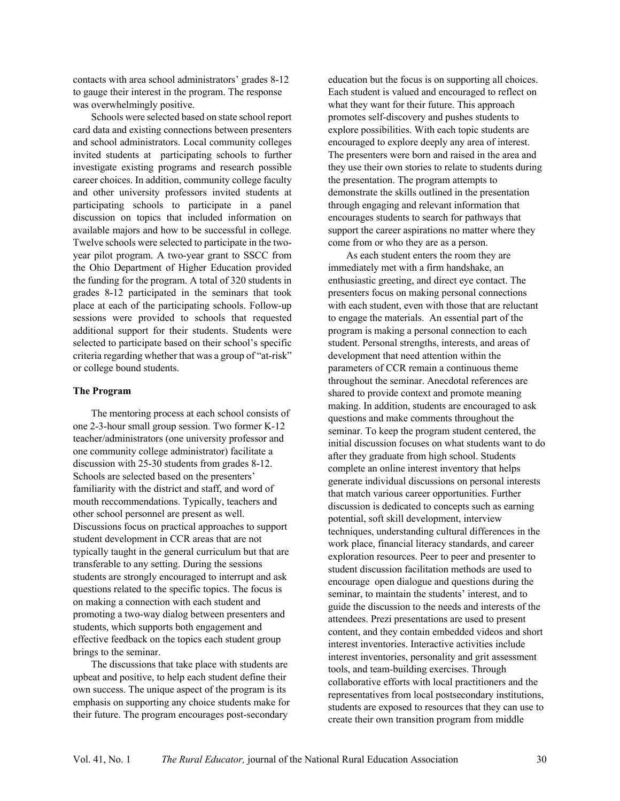contacts with area school administrators' grades 8-12 to gauge their interest in the program. The response was overwhelmingly positive.

Schools were selected based on state school report card data and existing connections between presenters and school administrators. Local community colleges invited students at participating schools to further investigate existing programs and research possible career choices. In addition, community college faculty and other university professors invited students at participating schools to participate in a panel discussion on topics that included information on available majors and how to be successful in college. Twelve schools were selected to participate in the twoyear pilot program. A two-year grant to SSCC from the Ohio Department of Higher Education provided the funding for the program. A total of 320 students in grades 8-12 participated in the seminars that took place at each of the participating schools. Follow-up sessions were provided to schools that requested additional support for their students. Students were selected to participate based on their school's specific criteria regarding whether that was a group of "at-risk" or college bound students.

#### **The Program**

The mentoring process at each school consists of one 2-3-hour small group session. Two former K-12 teacher/administrators (one university professor and one community college administrator) facilitate a discussion with 25-30 students from grades 8-12. Schools are selected based on the presenters' familiarity with the district and staff, and word of mouth reccommendations. Typically, teachers and other school personnel are present as well. Discussions focus on practical approaches to support student development in CCR areas that are not typically taught in the general curriculum but that are transferable to any setting. During the sessions students are strongly encouraged to interrupt and ask questions related to the specific topics. The focus is on making a connection with each student and promoting a two-way dialog between presenters and students, which supports both engagement and effective feedback on the topics each student group brings to the seminar.

The discussions that take place with students are upbeat and positive, to help each student define their own success. The unique aspect of the program is its emphasis on supporting any choice students make for their future. The program encourages post-secondary

education but the focus is on supporting all choices. Each student is valued and encouraged to reflect on what they want for their future. This approach promotes self-discovery and pushes students to explore possibilities. With each topic students are encouraged to explore deeply any area of interest. The presenters were born and raised in the area and they use their own stories to relate to students during the presentation. The program attempts to demonstrate the skills outlined in the presentation through engaging and relevant information that encourages students to search for pathways that support the career aspirations no matter where they come from or who they are as a person.

As each student enters the room they are immediately met with a firm handshake, an enthusiastic greeting, and direct eye contact. The presenters focus on making personal connections with each student, even with those that are reluctant to engage the materials. An essential part of the program is making a personal connection to each student. Personal strengths, interests, and areas of development that need attention within the parameters of CCR remain a continuous theme throughout the seminar. Anecdotal references are shared to provide context and promote meaning making. In addition, students are encouraged to ask questions and make comments throughout the seminar. To keep the program student centered, the initial discussion focuses on what students want to do after they graduate from high school. Students complete an online interest inventory that helps generate individual discussions on personal interests that match various career opportunities. Further discussion is dedicated to concepts such as earning potential, soft skill development, interview techniques, understanding cultural differences in the work place, financial literacy standards, and career exploration resources. Peer to peer and presenter to student discussion facilitation methods are used to encourage open dialogue and questions during the seminar, to maintain the students' interest, and to guide the discussion to the needs and interests of the attendees. Prezi presentations are used to present content, and they contain embedded videos and short interest inventories. Interactive activities include interest inventories, personality and grit assessment tools, and team-building exercises. Through collaborative efforts with local practitioners and the representatives from local postsecondary institutions, students are exposed to resources that they can use to create their own transition program from middle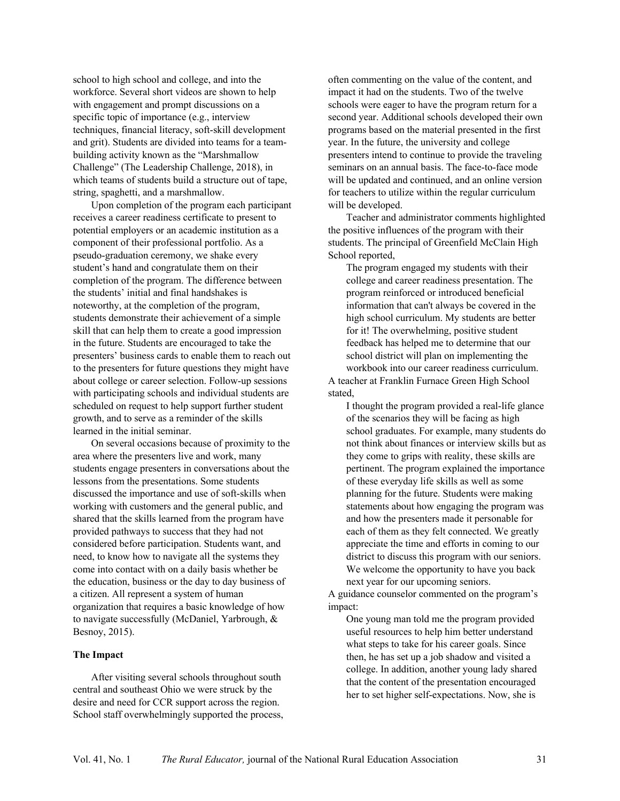school to high school and college, and into the workforce. Several short videos are shown to help with engagement and prompt discussions on a specific topic of importance (e.g., interview techniques, financial literacy, soft-skill development and grit). Students are divided into teams for a teambuilding activity known as the "Marshmallow Challenge" (The Leadership Challenge, 2018), in which teams of students build a structure out of tape, string, spaghetti, and a marshmallow.

Upon completion of the program each participant receives a career readiness certificate to present to potential employers or an academic institution as a component of their professional portfolio. As a pseudo-graduation ceremony, we shake every student's hand and congratulate them on their completion of the program. The difference between the students' initial and final handshakes is noteworthy, at the completion of the program, students demonstrate their achievement of a simple skill that can help them to create a good impression in the future. Students are encouraged to take the presenters' business cards to enable them to reach out to the presenters for future questions they might have about college or career selection. Follow-up sessions with participating schools and individual students are scheduled on request to help support further student growth, and to serve as a reminder of the skills learned in the initial seminar.

On several occasions because of proximity to the area where the presenters live and work, many students engage presenters in conversations about the lessons from the presentations. Some students discussed the importance and use of soft-skills when working with customers and the general public, and shared that the skills learned from the program have provided pathways to success that they had not considered before participation. Students want, and need, to know how to navigate all the systems they come into contact with on a daily basis whether be the education, business or the day to day business of a citizen. All represent a system of human organization that requires a basic knowledge of how to navigate successfully (McDaniel, Yarbrough, & Besnoy, 2015).

#### **The Impact**

After visiting several schools throughout south central and southeast Ohio we were struck by the desire and need for CCR support across the region. School staff overwhelmingly supported the process,

often commenting on the value of the content, and impact it had on the students. Two of the twelve schools were eager to have the program return for a second year. Additional schools developed their own programs based on the material presented in the first year. In the future, the university and college presenters intend to continue to provide the traveling seminars on an annual basis. The face-to-face mode will be updated and continued, and an online version for teachers to utilize within the regular curriculum will be developed.

Teacher and administrator comments highlighted the positive influences of the program with their students. The principal of Greenfield McClain High School reported,

The program engaged my students with their college and career readiness presentation. The program reinforced or introduced beneficial information that can't always be covered in the high school curriculum. My students are better for it! The overwhelming, positive student feedback has helped me to determine that our school district will plan on implementing the workbook into our career readiness curriculum.

A teacher at Franklin Furnace Green High School stated,

I thought the program provided a real-life glance of the scenarios they will be facing as high school graduates. For example, many students do not think about finances or interview skills but as they come to grips with reality, these skills are pertinent. The program explained the importance of these everyday life skills as well as some planning for the future. Students were making statements about how engaging the program was and how the presenters made it personable for each of them as they felt connected. We greatly appreciate the time and efforts in coming to our district to discuss this program with our seniors. We welcome the opportunity to have you back next year for our upcoming seniors.

A guidance counselor commented on the program's impact:

One young man told me the program provided useful resources to help him better understand what steps to take for his career goals. Since then, he has set up a job shadow and visited a college. In addition, another young lady shared that the content of the presentation encouraged her to set higher self-expectations. Now, she is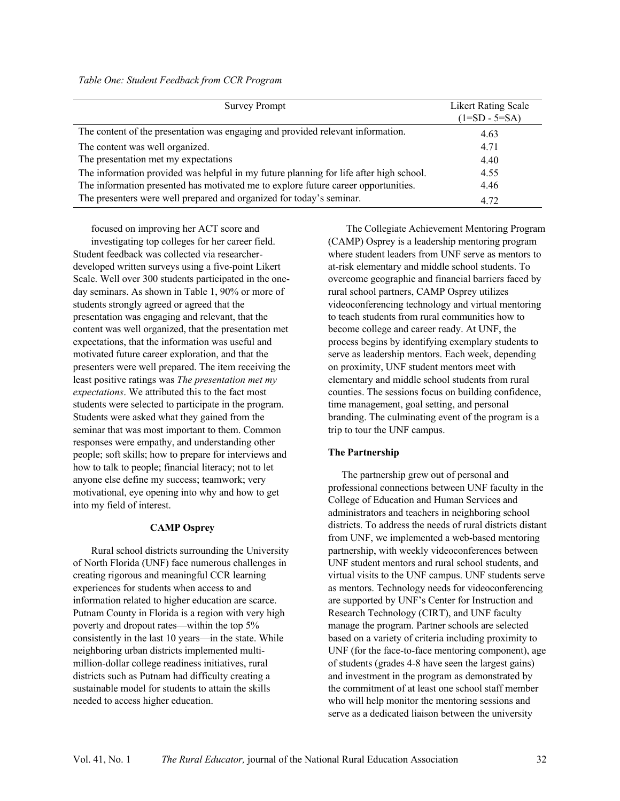| <b>Survey Prompt</b>                                                                   | <b>Likert Rating Scale</b><br>$(1=SD - 5=SA)$ |
|----------------------------------------------------------------------------------------|-----------------------------------------------|
| The content of the presentation was engaging and provided relevant information.        | 4.63                                          |
| The content was well organized.                                                        | 4.71                                          |
| The presentation met my expectations                                                   | 4.40                                          |
| The information provided was helpful in my future planning for life after high school. | 4.55                                          |
| The information presented has motivated me to explore future career opportunities.     | 4.46                                          |
| The presenters were well prepared and organized for today's seminar.                   | 4.72                                          |

focused on improving her ACT score and

investigating top colleges for her career field. Student feedback was collected via researcherdeveloped written surveys using a five-point Likert Scale. Well over 300 students participated in the oneday seminars. As shown in Table 1, 90% or more of students strongly agreed or agreed that the presentation was engaging and relevant, that the content was well organized, that the presentation met expectations, that the information was useful and motivated future career exploration, and that the presenters were well prepared. The item receiving the least positive ratings was *The presentation met my expectations*. We attributed this to the fact most students were selected to participate in the program. Students were asked what they gained from the seminar that was most important to them. Common responses were empathy, and understanding other people; soft skills; how to prepare for interviews and how to talk to people; financial literacy; not to let anyone else define my success; teamwork; very motivational, eye opening into why and how to get into my field of interest.

#### **CAMP Osprey**

Rural school districts surrounding the University of North Florida (UNF) face numerous challenges in creating rigorous and meaningful CCR learning experiences for students when access to and information related to higher education are scarce. Putnam County in Florida is a region with very high poverty and dropout rates—within the top 5% consistently in the last 10 years—in the state. While neighboring urban districts implemented multimillion-dollar college readiness initiatives, rural districts such as Putnam had difficulty creating a sustainable model for students to attain the skills needed to access higher education.

The Collegiate Achievement Mentoring Program (CAMP) Osprey is a leadership mentoring program where student leaders from UNF serve as mentors to at-risk elementary and middle school students. To overcome geographic and financial barriers faced by rural school partners, CAMP Osprey utilizes videoconferencing technology and virtual mentoring to teach students from rural communities how to become college and career ready. At UNF, the process begins by identifying exemplary students to serve as leadership mentors. Each week, depending on proximity, UNF student mentors meet with elementary and middle school students from rural counties. The sessions focus on building confidence, time management, goal setting, and personal branding. The culminating event of the program is a trip to tour the UNF campus.

#### **The Partnership**

The partnership grew out of personal and professional connections between UNF faculty in the College of Education and Human Services and administrators and teachers in neighboring school districts. To address the needs of rural districts distant from UNF, we implemented a web-based mentoring partnership, with weekly videoconferences between UNF student mentors and rural school students, and virtual visits to the UNF campus. UNF students serve as mentors. Technology needs for videoconferencing are supported by UNF's Center for Instruction and Research Technology (CIRT), and UNF faculty manage the program. Partner schools are selected based on a variety of criteria including proximity to UNF (for the face-to-face mentoring component), age of students (grades 4-8 have seen the largest gains) and investment in the program as demonstrated by the commitment of at least one school staff member who will help monitor the mentoring sessions and serve as a dedicated liaison between the university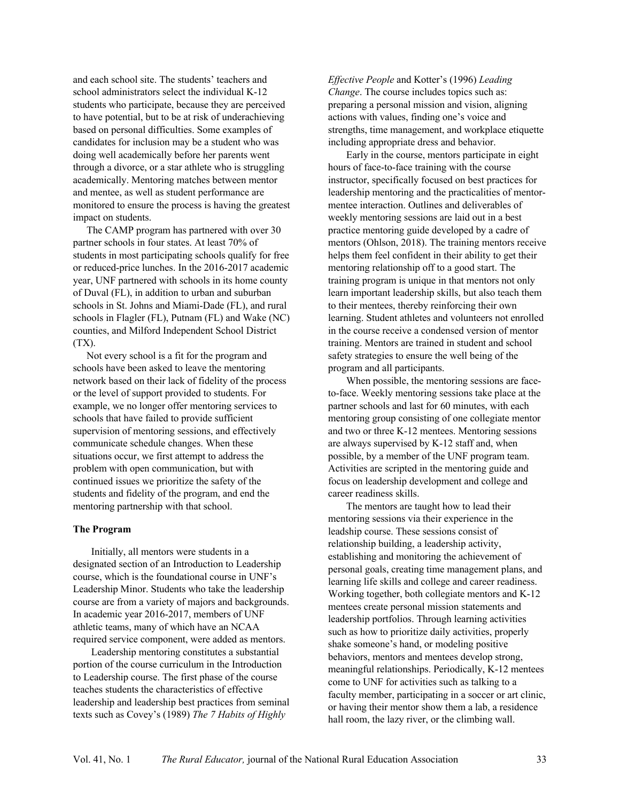and each school site. The students' teachers and school administrators select the individual K-12 students who participate, because they are perceived to have potential, but to be at risk of underachieving based on personal difficulties. Some examples of candidates for inclusion may be a student who was doing well academically before her parents went through a divorce, or a star athlete who is struggling academically. Mentoring matches between mentor and mentee, as well as student performance are monitored to ensure the process is having the greatest impact on students.

The CAMP program has partnered with over 30 partner schools in four states. At least 70% of students in most participating schools qualify for free or reduced-price lunches. In the 2016-2017 academic year, UNF partnered with schools in its home county of Duval (FL), in addition to urban and suburban schools in St. Johns and Miami-Dade (FL), and rural schools in Flagler (FL), Putnam (FL) and Wake (NC) counties, and Milford Independent School District (TX).

Not every school is a fit for the program and schools have been asked to leave the mentoring network based on their lack of fidelity of the process or the level of support provided to students. For example, we no longer offer mentoring services to schools that have failed to provide sufficient supervision of mentoring sessions, and effectively communicate schedule changes. When these situations occur, we first attempt to address the problem with open communication, but with continued issues we prioritize the safety of the students and fidelity of the program, and end the mentoring partnership with that school.

#### **The Program**

Initially, all mentors were students in a designated section of an Introduction to Leadership course, which is the foundational course in UNF's Leadership Minor. Students who take the leadership course are from a variety of majors and backgrounds. In academic year 2016-2017, members of UNF athletic teams, many of which have an NCAA required service component, were added as mentors.

Leadership mentoring constitutes a substantial portion of the course curriculum in the Introduction to Leadership course. The first phase of the course teaches students the characteristics of effective leadership and leadership best practices from seminal texts such as Covey's (1989) *The 7 Habits of Highly*

*Effective People* and Kotter's (1996) *Leading Change*. The course includes topics such as: preparing a personal mission and vision, aligning actions with values, finding one's voice and strengths, time management, and workplace etiquette including appropriate dress and behavior.

Early in the course, mentors participate in eight hours of face-to-face training with the course instructor, specifically focused on best practices for leadership mentoring and the practicalities of mentormentee interaction. Outlines and deliverables of weekly mentoring sessions are laid out in a best practice mentoring guide developed by a cadre of mentors (Ohlson, 2018). The training mentors receive helps them feel confident in their ability to get their mentoring relationship off to a good start. The training program is unique in that mentors not only learn important leadership skills, but also teach them to their mentees, thereby reinforcing their own learning. Student athletes and volunteers not enrolled in the course receive a condensed version of mentor training. Mentors are trained in student and school safety strategies to ensure the well being of the program and all participants.

When possible, the mentoring sessions are faceto-face. Weekly mentoring sessions take place at the partner schools and last for 60 minutes, with each mentoring group consisting of one collegiate mentor and two or three K-12 mentees. Mentoring sessions are always supervised by K-12 staff and, when possible, by a member of the UNF program team. Activities are scripted in the mentoring guide and focus on leadership development and college and career readiness skills.

The mentors are taught how to lead their mentoring sessions via their experience in the leadship course. These sessions consist of relationship building, a leadership activity, establishing and monitoring the achievement of personal goals, creating time management plans, and learning life skills and college and career readiness. Working together, both collegiate mentors and K-12 mentees create personal mission statements and leadership portfolios. Through learning activities such as how to prioritize daily activities, properly shake someone's hand, or modeling positive behaviors, mentors and mentees develop strong, meaningful relationships. Periodically, K-12 mentees come to UNF for activities such as talking to a faculty member, participating in a soccer or art clinic, or having their mentor show them a lab, a residence hall room, the lazy river, or the climbing wall.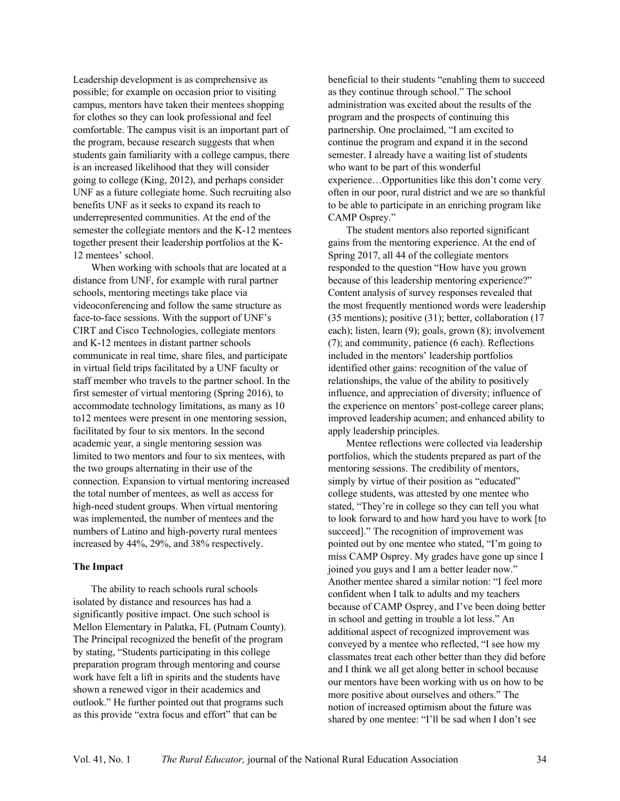Leadership development is as comprehensive as possible; for example on occasion prior to visiting campus, mentors have taken their mentees shopping for clothes so they can look professional and feel comfortable. The campus visit is an important part of the program, because research suggests that when students gain familiarity with a college campus, there is an increased likelihood that they will consider going to college (King, 2012), and perhaps consider UNF as a future collegiate home. Such recruiting also benefits UNF as it seeks to expand its reach to underrepresented communities. At the end of the semester the collegiate mentors and the K-12 mentees together present their leadership portfolios at the K-12 mentees' school.

When working with schools that are located at a distance from UNF, for example with rural partner schools, mentoring meetings take place via videoconferencing and follow the same structure as face-to-face sessions. With the support of UNF's CIRT and Cisco Technologies, collegiate mentors and K-12 mentees in distant partner schools communicate in real time, share files, and participate in virtual field trips facilitated by a UNF faculty or staff member who travels to the partner school. In the first semester of virtual mentoring (Spring 2016), to accommodate technology limitations, as many as 10 to12 mentees were present in one mentoring session, facilitated by four to six mentors. In the second academic year, a single mentoring session was limited to two mentors and four to six mentees, with the two groups alternating in their use of the connection. Expansion to virtual mentoring increased the total number of mentees, as well as access for high-need student groups. When virtual mentoring was implemented, the number of mentees and the numbers of Latino and high-poverty rural mentees increased by 44%, 29%, and 38% respectively.

#### **The Impact**

The ability to reach schools rural schools isolated by distance and resources has had a significantly positive impact. One such school is Mellon Elementary in Palatka, FL (Putnam County). The Principal recognized the benefit of the program by stating, "Students participating in this college preparation program through mentoring and course work have felt a lift in spirits and the students have shown a renewed vigor in their academics and outlook." He further pointed out that programs such as this provide "extra focus and effort" that can be

beneficial to their students "enabling them to succeed as they continue through school." The school administration was excited about the results of the program and the prospects of continuing this partnership. One proclaimed, "I am excited to continue the program and expand it in the second semester. I already have a waiting list of students who want to be part of this wonderful experience…Opportunities like this don't come very often in our poor, rural district and we are so thankful to be able to participate in an enriching program like CAMP Osprey."

The student mentors also reported significant gains from the mentoring experience. At the end of Spring 2017, all 44 of the collegiate mentors responded to the question "How have you grown because of this leadership mentoring experience?" Content analysis of survey responses revealed that the most frequently mentioned words were leadership (35 mentions); positive (31); better, collaboration (17 each); listen, learn (9); goals, grown (8); involvement (7); and community, patience (6 each). Reflections included in the mentors' leadership portfolios identified other gains: recognition of the value of relationships, the value of the ability to positively influence, and appreciation of diversity; influence of the experience on mentors' post-college career plans; improved leadership acumen; and enhanced ability to apply leadership principles.

Mentee reflections were collected via leadership portfolios, which the students prepared as part of the mentoring sessions. The credibility of mentors, simply by virtue of their position as "educated" college students, was attested by one mentee who stated, "They're in college so they can tell you what to look forward to and how hard you have to work [to succeed]." The recognition of improvement was pointed out by one mentee who stated, "I'm going to miss CAMP Osprey. My grades have gone up since I joined you guys and I am a better leader now." Another mentee shared a similar notion: "I feel more confident when I talk to adults and my teachers because of CAMP Osprey, and I've been doing better in school and getting in trouble a lot less." An additional aspect of recognized improvement was conveyed by a mentee who reflected, "I see how my classmates treat each other better than they did before and I think we all get along better in school because our mentors have been working with us on how to be more positive about ourselves and others." The notion of increased optimism about the future was shared by one mentee: "I'll be sad when I don't see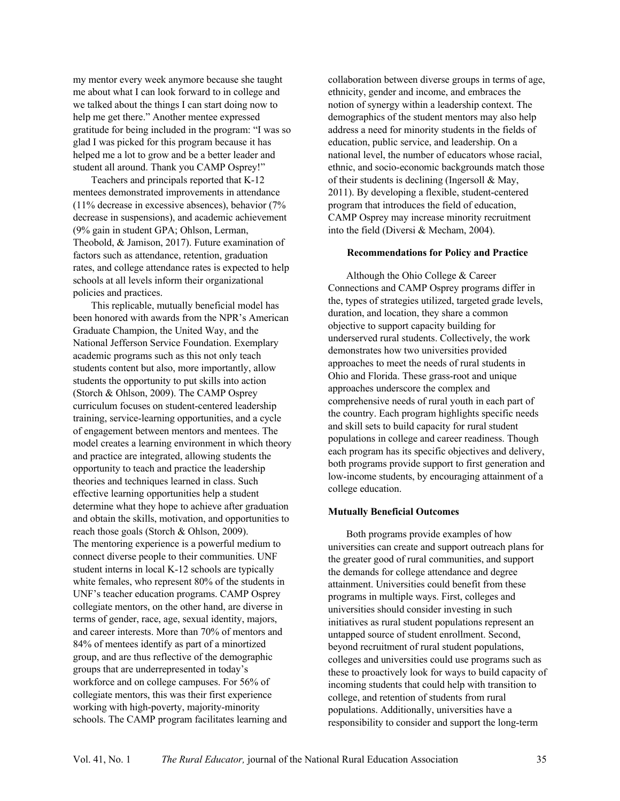my mentor every week anymore because she taught me about what I can look forward to in college and we talked about the things I can start doing now to help me get there." Another mentee expressed gratitude for being included in the program: "I was so glad I was picked for this program because it has helped me a lot to grow and be a better leader and student all around. Thank you CAMP Osprey!"

Teachers and principals reported that K-12 mentees demonstrated improvements in attendance (11% decrease in excessive absences), behavior (7% decrease in suspensions), and academic achievement (9% gain in student GPA; Ohlson, Lerman, Theobold, & Jamison, 2017). Future examination of factors such as attendance, retention, graduation rates, and college attendance rates is expected to help schools at all levels inform their organizational policies and practices.

This replicable, mutually beneficial model has been honored with awards from the NPR's American Graduate Champion, the United Way, and the National Jefferson Service Foundation. Exemplary academic programs such as this not only teach students content but also, more importantly, allow students the opportunity to put skills into action (Storch & Ohlson, 2009). The CAMP Osprey curriculum focuses on student-centered leadership training, service-learning opportunities, and a cycle of engagement between mentors and mentees. The model creates a learning environment in which theory and practice are integrated, allowing students the opportunity to teach and practice the leadership theories and techniques learned in class. Such effective learning opportunities help a student determine what they hope to achieve after graduation and obtain the skills, motivation, and opportunities to reach those goals (Storch & Ohlson, 2009). The mentoring experience is a powerful medium to connect diverse people to their communities. UNF student interns in local K-12 schools are typically white females, who represent 80% of the students in UNF's teacher education programs. CAMP Osprey collegiate mentors, on the other hand, are diverse in terms of gender, race, age, sexual identity, majors, and career interests. More than 70% of mentors and 84% of mentees identify as part of a minortized group, and are thus reflective of the demographic groups that are underrepresented in today's workforce and on college campuses. For 56% of collegiate mentors, this was their first experience working with high-poverty, majority-minority schools. The CAMP program facilitates learning and

collaboration between diverse groups in terms of age, ethnicity, gender and income, and embraces the notion of synergy within a leadership context. The demographics of the student mentors may also help address a need for minority students in the fields of education, public service, and leadership. On a national level, the number of educators whose racial, ethnic, and socio-economic backgrounds match those of their students is declining (Ingersoll & May, 2011). By developing a flexible, student-centered program that introduces the field of education, CAMP Osprey may increase minority recruitment into the field (Diversi & Mecham, 2004).

#### **Recommendations for Policy and Practice**

Although the Ohio College & Career Connections and CAMP Osprey programs differ in the, types of strategies utilized, targeted grade levels, duration, and location, they share a common objective to support capacity building for underserved rural students. Collectively, the work demonstrates how two universities provided approaches to meet the needs of rural students in Ohio and Florida. These grass-root and unique approaches underscore the complex and comprehensive needs of rural youth in each part of the country. Each program highlights specific needs and skill sets to build capacity for rural student populations in college and career readiness. Though each program has its specific objectives and delivery, both programs provide support to first generation and low-income students, by encouraging attainment of a college education.

#### **Mutually Beneficial Outcomes**

Both programs provide examples of how universities can create and support outreach plans for the greater good of rural communities, and support the demands for college attendance and degree attainment. Universities could benefit from these programs in multiple ways. First, colleges and universities should consider investing in such initiatives as rural student populations represent an untapped source of student enrollment. Second, beyond recruitment of rural student populations, colleges and universities could use programs such as these to proactively look for ways to build capacity of incoming students that could help with transition to college, and retention of students from rural populations. Additionally, universities have a responsibility to consider and support the long-term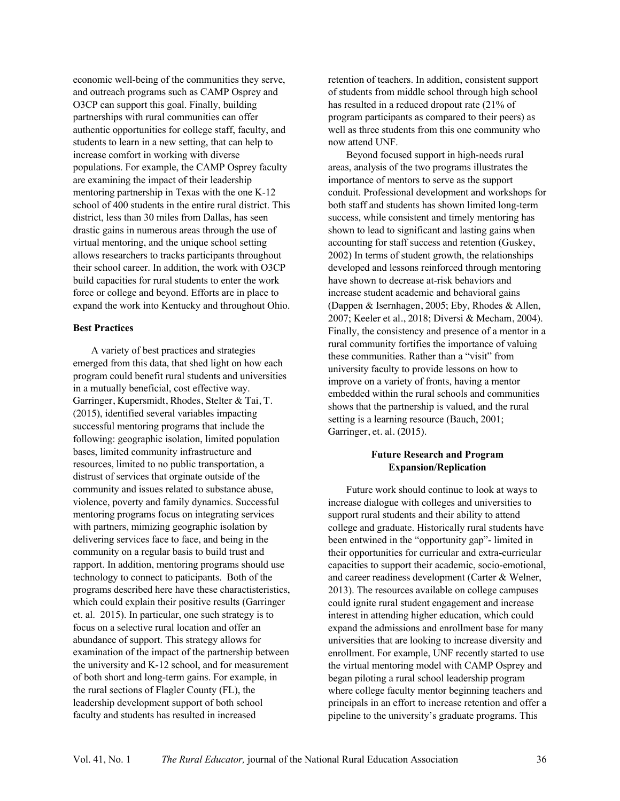economic well-being of the communities they serve, and outreach programs such as CAMP Osprey and O3CP can support this goal. Finally, building partnerships with rural communities can offer authentic opportunities for college staff, faculty, and students to learn in a new setting, that can help to increase comfort in working with diverse populations. For example, the CAMP Osprey faculty are examining the impact of their leadership mentoring partnership in Texas with the one K-12 school of 400 students in the entire rural district. This district, less than 30 miles from Dallas, has seen drastic gains in numerous areas through the use of virtual mentoring, and the unique school setting allows researchers to tracks participants throughout their school career. In addition, the work with O3CP build capacities for rural students to enter the work force or college and beyond. Efforts are in place to expand the work into Kentucky and throughout Ohio.

#### **Best Practices**

A variety of best practices and strategies emerged from this data, that shed light on how each program could benefit rural students and universities in a mutually beneficial, cost effective way. Garringer, Kupersmidt, Rhodes, Stelter & Tai, T. (2015), identified several variables impacting successful mentoring programs that include the following: geographic isolation, limited population bases, limited community infrastructure and resources, limited to no public transportation, a distrust of services that orginate outside of the community and issues related to substance abuse, violence, poverty and family dynamics. Successful mentoring programs focus on integrating services with partners, mimizing geographic isolation by delivering services face to face, and being in the community on a regular basis to build trust and rapport. In addition, mentoring programs should use technology to connect to paticipants. Both of the programs described here have these charactisteristics, which could explain their positive results (Garringer et. al. 2015). In particular, one such strategy is to focus on a selective rural location and offer an abundance of support. This strategy allows for examination of the impact of the partnership between the university and K-12 school, and for measurement of both short and long-term gains. For example, in the rural sections of Flagler County (FL), the leadership development support of both school faculty and students has resulted in increased

retention of teachers. In addition, consistent support of students from middle school through high school has resulted in a reduced dropout rate (21% of program participants as compared to their peers) as well as three students from this one community who now attend UNF.

Beyond focused support in high-needs rural areas, analysis of the two programs illustrates the importance of mentors to serve as the support conduit. Professional development and workshops for both staff and students has shown limited long-term success, while consistent and timely mentoring has shown to lead to significant and lasting gains when accounting for staff success and retention (Guskey, 2002) In terms of student growth, the relationships developed and lessons reinforced through mentoring have shown to decrease at-risk behaviors and increase student academic and behavioral gains (Dappen & Isernhagen, 2005; Eby, Rhodes & Allen, 2007; Keeler et al., 2018; Diversi & Mecham, 2004). Finally, the consistency and presence of a mentor in a rural community fortifies the importance of valuing these communities. Rather than a "visit" from university faculty to provide lessons on how to improve on a variety of fronts, having a mentor embedded within the rural schools and communities shows that the partnership is valued, and the rural setting is a learning resource (Bauch, 2001; Garringer, et. al. (2015).

#### **Future Research and Program Expansion/Replication**

Future work should continue to look at ways to increase dialogue with colleges and universities to support rural students and their ability to attend college and graduate. Historically rural students have been entwined in the "opportunity gap"- limited in their opportunities for curricular and extra-curricular capacities to support their academic, socio-emotional, and career readiness development (Carter & Welner, 2013). The resources available on college campuses could ignite rural student engagement and increase interest in attending higher education, which could expand the admissions and enrollment base for many universities that are looking to increase diversity and enrollment. For example, UNF recently started to use the virtual mentoring model with CAMP Osprey and began piloting a rural school leadership program where college faculty mentor beginning teachers and principals in an effort to increase retention and offer a pipeline to the university's graduate programs. This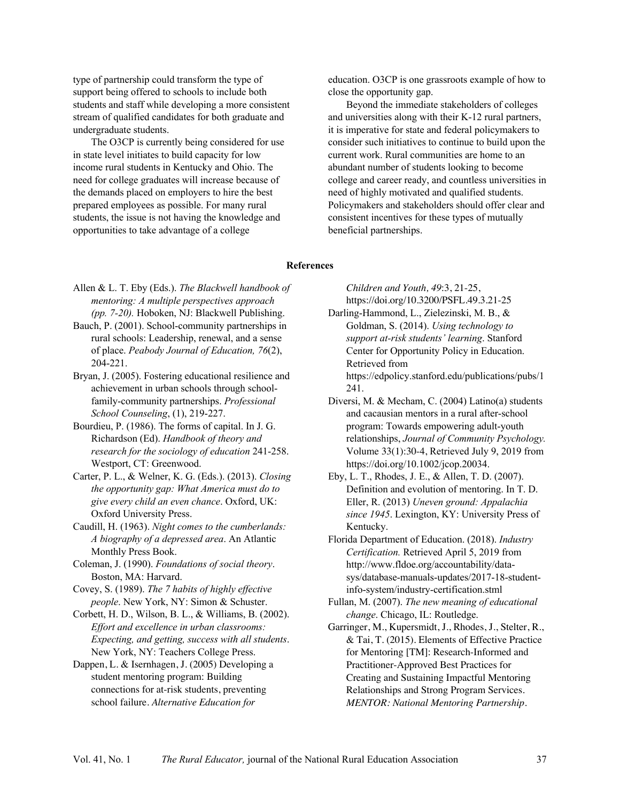type of partnership could transform the type of support being offered to schools to include both students and staff while developing a more consistent stream of qualified candidates for both graduate and undergraduate students.

The O3CP is currently being considered for use in state level initiates to build capacity for low income rural students in Kentucky and Ohio. The need for college graduates will increase because of the demands placed on employers to hire the best prepared employees as possible. For many rural students, the issue is not having the knowledge and opportunities to take advantage of a college

education. O3CP is one grassroots example of how to close the opportunity gap.

Beyond the immediate stakeholders of colleges and universities along with their K-12 rural partners, it is imperative for state and federal policymakers to consider such initiatives to continue to build upon the current work. Rural communities are home to an abundant number of students looking to become college and career ready, and countless universities in need of highly motivated and qualified students. Policymakers and stakeholders should offer clear and consistent incentives for these types of mutually beneficial partnerships.

#### **References**

*Children and Youth, 49*:3, 21-25, https://doi.org/10.3200/PSFL.49.3.21-25

Darling-Hammond, L., Zielezinski, M. B., & Goldman, S. (2014). *Using technology to support at-risk students' learning*. Stanford Center for Opportunity Policy in Education. Retrieved from

https://edpolicy.stanford.edu/publications/pubs/1 241.

- Diversi, M. & Mecham, C. (2004) Latino(a) students and cacausian mentors in a rural after-school program: Towards empowering adult-youth relationships, *Journal of Community Psychology.* Volume 33(1):30-4, Retrieved July 9, 2019 from https://doi.org/10.1002/jcop.20034.
- Eby, L. T., Rhodes, J. E., & Allen, T. D. (2007). Definition and evolution of mentoring. In T. D. Eller, R. (2013) *Uneven ground: Appalachia since 1945*. Lexington, KY: University Press of Kentucky.
- Florida Department of Education. (2018). *Industry Certification.* Retrieved April 5, 2019 from http://www.fldoe.org/accountability/datasys/database-manuals-updates/2017-18-studentinfo-system/industry-certification.stml
- Fullan, M. (2007). *The new meaning of educational change*. Chicago, IL: Routledge.
- Garringer, M., Kupersmidt, J., Rhodes, J., Stelter, R., & Tai, T. (2015). Elements of Effective Practice for Mentoring [TM]: Research-Informed and Practitioner-Approved Best Practices for Creating and Sustaining Impactful Mentoring Relationships and Strong Program Services. *MENTOR: National Mentoring Partnership*.
- Allen & L. T. Eby (Eds.). *The Blackwell handbook of mentoring: A multiple perspectives approach (pp. 7-20).* Hoboken, NJ: Blackwell Publishing.
- Bauch, P. (2001). School-community partnerships in rural schools: Leadership, renewal, and a sense of place. *Peabody Journal of Education, 76*(2), 204-221.
- Bryan, J. (2005). Fostering educational resilience and achievement in urban schools through schoolfamily-community partnerships. *Professional School Counseling*, (1), 219-227.
- Bourdieu, P. (1986). The forms of capital. In J. G. Richardson (Ed). *Handbook of theory and research for the sociology of education* 241-258. Westport, CT: Greenwood.
- Carter, P. L., & Welner, K. G. (Eds.). (2013). *Closing the opportunity gap: What America must do to give every child an even chance*. Oxford, UK: Oxford University Press.
- Caudill, H. (1963). *Night comes to the cumberlands: A biography of a depressed area*. An Atlantic Monthly Press Book.
- Coleman, J. (1990). *Foundations of social theory*. Boston, MA: Harvard.
- Covey, S. (1989). *The 7 habits of highly effective people*. New York, NY: Simon & Schuster.
- Corbett, H. D., Wilson, B. L., & Williams, B. (2002). *Effort and excellence in urban classrooms: Expecting, and getting, success with all students*. New York, NY: Teachers College Press.
- Dappen, L. & Isernhagen, J. (2005) Developing a student mentoring program: Building connections for at-risk students, preventing school failure. *Alternative Education for*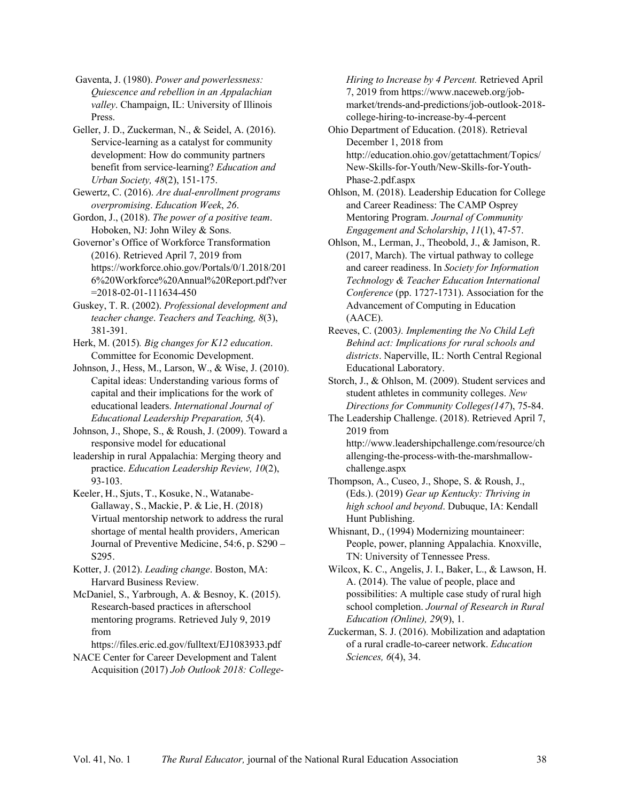Gaventa, J. (1980). *Power and powerlessness: Quiescence and rebellion in an Appalachian valley*. Champaign, IL: University of Illinois Press.

Geller, J. D., Zuckerman, N., & Seidel, A. (2016). Service-learning as a catalyst for community development: How do community partners benefit from service-learning? *Education and Urban Society, 48*(2), 151-175.

Gewertz, C. (2016). *Are dual-enrollment programs overpromising*. *Education Week*, *26*.

Gordon, J., (2018). *The power of a positive team*. Hoboken, NJ: John Wiley & Sons.

Governor's Office of Workforce Transformation (2016). Retrieved April 7, 2019 from https://workforce.ohio.gov/Portals/0/1.2018/201 6%20Workforce%20Annual%20Report.pdf?ver =2018-02-01-111634-450

Guskey, T. R. (2002). *Professional development and teacher change*. *Teachers and Teaching, 8*(3), 381-391.

Herk, M. (2015)*. Big changes for K12 education*. Committee for Economic Development.

Johnson, J., Hess, M., Larson, W., & Wise, J. (2010). Capital ideas: Understanding various forms of capital and their implications for the work of educational leaders. *International Journal of Educational Leadership Preparation, 5*(4).

Johnson, J., Shope, S., & Roush, J. (2009). Toward a responsive model for educational

leadership in rural Appalachia: Merging theory and practice. *Education Leadership Review, 10*(2), 93-103.

Keeler, H., Sjuts, T., Kosuke, N., Watanabe-Gallaway, S., Mackie, P. & Lie, H. (2018) Virtual mentorship network to address the rural shortage of mental health providers, American Journal of Preventive Medicine, 54:6, p. S290 – S295.

Kotter, J. (2012). *Leading change*. Boston, MA: Harvard Business Review.

McDaniel, S., Yarbrough, A. & Besnoy, K. (2015). Research-based practices in afterschool mentoring programs. Retrieved July 9, 2019 from

https://files.eric.ed.gov/fulltext/EJ1083933.pdf

NACE Center for Career Development and Talent Acquisition (2017) *Job Outlook 2018: College-* *Hiring to Increase by 4 Percent.* Retrieved April 7, 2019 from https://www.naceweb.org/jobmarket/trends-and-predictions/job-outlook-2018 college-hiring-to-increase-by-4-percent

Ohio Department of Education. (2018). Retrieval December 1, 2018 from http://education.ohio.gov/getattachment/Topics/ New-Skills-for-Youth/New-Skills-for-Youth-Phase-2.pdf.aspx

Ohlson, M. (2018). Leadership Education for College and Career Readiness: The CAMP Osprey Mentoring Program. *Journal of Community Engagement and Scholarship*, *11*(1), 47-57.

Ohlson, M., Lerman, J., Theobold, J., & Jamison, R. (2017, March). The virtual pathway to college and career readiness. In *Society for Information Technology & Teacher Education International Conference* (pp. 1727-1731). Association for the Advancement of Computing in Education (AACE).

Reeves, C. (2003*). Implementing the No Child Left Behind act: Implications for rural schools and districts*. Naperville, IL: North Central Regional Educational Laboratory.

Storch, J., & Ohlson, M. (2009). Student services and student athletes in community colleges. *New Directions for Community Colleges(147*), 75-84.

The Leadership Challenge. (2018). Retrieved April 7, 2019 from http://www.leadershipchallenge.com/resource/ch

allenging-the-process-with-the-marshmallowchallenge.aspx

Thompson, A., Cuseo, J., Shope, S. & Roush, J., (Eds.). (2019) *Gear up Kentucky: Thriving in high school and beyond*. Dubuque, IA: Kendall Hunt Publishing.

Whisnant, D., (1994) Modernizing mountaineer: People, power, planning Appalachia. Knoxville, TN: University of Tennessee Press.

Wilcox, K. C., Angelis, J. I., Baker, L., & Lawson, H. A. (2014). The value of people, place and possibilities: A multiple case study of rural high school completion. *Journal of Research in Rural Education (Online), 29*(9), 1.

Zuckerman, S. J. (2016). Mobilization and adaptation of a rural cradle-to-career network. *Education Sciences, 6*(4), 34.